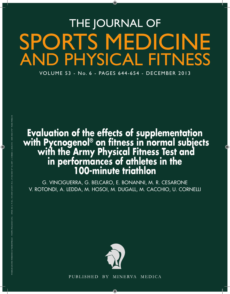# THE JOURNAL OF SPORTS MEDICINE AND PHYSICAL FITNESS

VOLUME 53 - No. 6 - PAGES 644-654 - DECEMBER 2013

## **Evaluation of the effects of supplementation with Pycnogenol® on fitness in normal subjects with the Army Physical Fitness Test and in performances of athletes in the 100-minute triathlon**

G. VINCIGUERRA, G. BELCARO, E. BONANNI, M. R. CESARONE V. ROTONDI, A. LEDDA, M. HOSOI, M. DUGALL, M. CACCHIO, U. CORNELLI



PUBLISHED BY MINERVA MEDICA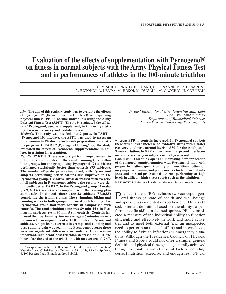### **Evaluation of the effects of supplementation with Pycnogenol**® **on fitness in normal subjects with the Army Physical Fitness Test and in performances of athletes in the 100-minute triathlon**

G. VINCIGUERRA, G. BELCARO, E. BONANNI, M. R. CESARONE V. ROTONDI, A. LEDDA, M. HOSOI, M. DUGALL, M. CACCHIO, U. CORNELLI

*Aim***. The aim of this registry study was to evaluate the effects of Pycnogenol**® **(French pine bark extract) on improving physical fitness (PF) in normal individuals using the Army Physical Fitness Test (APFT). The study evaluated the efficacy of Pycnogenol, used as a supplement, in improving training, exercise, recovery and oxidative stress.**

*Methods***. The study was divided into 2 parts. In PART 1 (Pycnogenol 100 mg/day), the APFT was used to assess an improvement in PF during an 8-week preparation and training program. In PART 2 (Pycnogenol 150 mg/day), the study evaluated the effects of Pycnogenol supplementation in athletes in training for a triathlon.**

*Results***. PART 1. There was a significant improvement in both males and females in the 2-mile running time within both groups, but the group using Pycnogenol (74 subjects) performed statistically better than controls (73 subjects). The number of push-ups was improved, with Pycnogenol subjects performing better. Sit-ups also improved in the Pycnogenol group. Oxidative stress decreased with exercise in all subjects; in Pycnogenol subjects the results were significantly better. PART 2. In the Pycnogenol group 32 males (37.9; SD 4.4 years) were compliant with the training plan at 4 weeks. In controls there were 22 subjects (37.2;3.5) completing the training plans. The swimming, biking and running scores in both groups improved with training. The Pycnogenol group had more benefits in comparison with controls. The total triathlon time was 89 min 44 s in Pycnogenol subjects** *versus* **96 min 5 s in controls. Controls improved their performing time on average 4.6 minutes in comparison with an improvement of 10.8 minutes in Pycnogenol subjects. A significant decrease in cramps and running and post-running pain was seen in the Pycnogenol group; there were no significant differences in controls. There was an important, significant post-triathlon decrease of PFR one hour after the end of the triathlon with an average of -26.7,**  *Irvine 3 International Circulation Vascular Labs & San Val. Epidemiology Department of Biomedical Sciences Chieti‑Pescara University, Pescara, Italy*

**whereas PFR in controls increased. In Pycnogenol subjects there was a lower increase on oxidative stress with a faster recovery to almost normal levels (<330 for these subjects). These variations in PFR values were interpreted as a faster metabolic recovery in subjects using Pycnogenol.** *Conclusion***. This study opens an interesting new application of the natural supplementation with Pycnogenol that, with proper hydration, good training and nutritional attention** 

**jects and in semi-professional athletes performing at high levels in difficult, high-stress sports such as the triathlon. KEY WORDS:** Fitness - Oxidative stress - Dietary supplements.

**may improve training and performances both in normal sub-**

Physical fitness (PF) includes two concepts: gen-eral fitness (a state of health and well-being); and specific task-oriented or sport-oriented fitness (a task-oriented definition based on the ability to perform specific skills in defined sports). PF is considered a measure of the individual ability to function efficiently and effectively in work and sport activities and to meet both external (*i.e.,* an unexpected need to perform an unusual effort) and internal (*i.e.,*  the ability to fight an infection)  $1-3$  emergency situations. Although the President's Council on Physical Fitness and Sports could not offer a simple, general definition of physical fitness,<sup>4</sup> it is generally achieved through a combination of several factors including correct nutrition, exercise, and enough rest. PF can

Corresponding author: G. Belcaro, MD, PhD, Irvine 3 Circulation/ Vascular Labs, Chieti-Pescara University, SS 16 bis, 94 (A), Spoltore, 65100 Pescara, Italy. E-mail: cardres@abol.it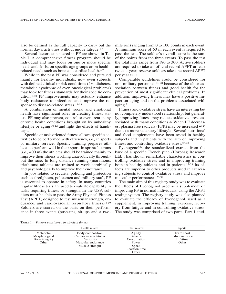also be defined as the full capacity to carry out the normal day's activities without undue fatigue.1-4

Several factors considered in PF are shown in Table I. A comprehensive fitness program should be individual and may focus on one or more specific needs and skills, on specific age groups or on healthrelated needs such as bone and cardiac health.<sup>4-7</sup>

While in the past PF was considered and pursued mainly for healthy individuals, now even subjects with defined clinical or risk conditions (*i.e.,* diabetes, metabolic syndrome of even oncological problems) may look for fitness standards for their specific condition.5-10 PF improvements may actually enhance body resistance to infections and improve the response to disease-related stress.<sup>11-13</sup>

A combination of mental, social and emotional health have significant roles in creating fitness status. PF may also prevent, control or even treat many chronic health conditions brought on by unhealthy lifestyle or aging 10-12 and fight the effects of handicaps.

Specific or task-oriented fitness allows specific activities to be performed with efficiency, *i.e.,* in sports or military service. Specific training prepares athletes to perform well in their sport. In sprint/fast runs (*i.e.,* 400 m) the athletes should be trained mainly to improve their fitness working anaerobically throughout the race. In long distance running (marathons, triathlons) athletes are trained to work aerobically and psychologically to improve their endurance.

In jobs related to security, policing and protection such as firefighters, policemen and military staff, PF is essential to operate in safety. In many countries regular fitness tests are used to evaluate capability in tasks requiring fitness or strength. In the USA soldiers must be able to pass the Army Physical Fitness Test (APFT) designed to test muscular strength, endurance, and cardiovascular respiratory fitness.13-19 Soldiers are scored on the basis on their performance in three events (push-ups, sit-ups and a twomile run) ranging from 0 to 100 points in each event. A minimum score of 60 in each event is required to pass the test. The soldier's overall score is the sum of the points from the three events. To pass the test the total may range from 180 to 300. Active soldiers are required to take an official record APFT at least twice a year; reserve soldiers take one record APFT per year.18, <sup>19</sup>

Comparable guidelines could be considered for non-military personnel 19, <sup>20</sup> because of the close association between fitness and good health for the prevention of most significant clinical problems. In addition, improving fitness may have a positive impact on aging and on the problems associated with aging.21

Fitness and oxidative stress have an interesting but not completely understood relationship; but generally, improving fitness may reduce oxidative stress associated with many conditions.<sup>22</sup> When PF decreases, plasma free radicals (PFR) may be increased 22-24 due to a more sedentary lifestyle. Several nutritional and food supplements have been tested in healthy subjects and in patients with the aim of improving fitness and controlling oxidative stress.22-28

Pycnogenol®, the standardized extract from the bark of a specific French pine (Horphag Research Ltd.), has shown remarkable characteristics in controlling oxidative stress and in improving training both in healthy athletes and in patients.27-29 Its effects are superior to other products used in exercising subjects to control oxidative stress and improve muscular performances.29-32

The main aim of this registry study was to evaluate the effects of Pycnogenol used as a supplement on improving PF in normal individuals, using the APFT testing system. The registry study was also planned to evaluate the efficacy of Pycnogenol, used as a supplement, in improving training, exercise, recovery from fatigue and in controlling oxidative stress. The study was comprised of two parts: Part 1 stud-

|  | TABLE I.-Factors considered in physical fitness. |  |  |  |  |
|--|--------------------------------------------------|--|--|--|--|
|--|--------------------------------------------------|--|--|--|--|

|                                                       | Health related                                                                                     | Skill related                                                                  | <b>Sports</b>                                       |
|-------------------------------------------------------|----------------------------------------------------------------------------------------------------|--------------------------------------------------------------------------------|-----------------------------------------------------|
| Metabolic<br>Morphological<br>Bone integrity<br>Other | Body composition<br>Cardiovascular fitness<br>Flexibility<br>Muscular endurance<br>Muscle strength | Agility<br>Balance<br>Coordination<br>Power<br>Speed<br>Reaction time<br>Other | Team sport<br>Individual sport<br>Lifetime<br>Other |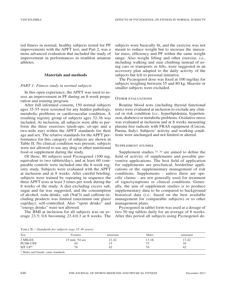ied fitness in normal, healthy subjects tested for PF improvements with the APFT test; and Part 2, was a more advanced evaluation that included the study of improvement in performances in triathlon amateur athletes.

#### **Materials and methods**

#### *PART 1: Fitness study in normal subjects*

In this open experience, the APFT was used to assess an improvement in PF during an 8-week preparation and training program.

After full informed consent**,** 150 normal subjects ages 35-55 were screened for any hidden pathology, metabolic problems or cardiovascular condition. A resulting registry group of subjects ages 32-36 was included. At inclusion, all subjects were able to perform the three exercises (push-ups, sit-ups and a two-mile run) within the APFT standards for their age and sex. The relative standards for the APFT performance for this category of subjects are shown in Table II. No clinical condition was present; subjects were not allowed to use any drug or other nutritional food or supplement during the study.

Of these, 80 subjects used Pycnogenol (100 mg, equivalent to two tablets/day), and at least 60 comparable controls were included into the 8-week registry study. Subjects were evaluated with the APFT at inclusion and at 8 weeks. After careful briefing, subjects were trained by repeating in sequence the three APFT tests at least 5 times per week during the 8 weeks of the study. A diet excluding excess salt, sugar and fat was suggested, and the consumption of alcohol, soda drinks, salt (NaCl) and caffeine-including products was limited (maximum one glass/ cup/day), self-controlled. Also "sport drinks" and "energy drinks" were not allowed.

The BMI at inclusion for all subjects was on average 23.5; 0.6 becoming 23.4;0.3 at 8 weeks. The subjects were basically fit, and the exercise was not meant to reduce weight but to increase the muscular mass, efficiency and PF within the same weight range. Also weight lifting and other exercise, *i.e.,*  including walking and stair climbing instead of using cars or transports or lifts, were suggested in an accessory plan adapted to the daily activity of the subjects but left to personal initiative.

The Pycnogenol dose was fixed at 100 mg/day for subjects weighing between 55 and 80 kg. Heavier or smaller subjects were excluded.

#### Other evaluations

Routine blood tests (including thyroid functional tests) were evaluated at inclusion to exclude any clinical or risk condition (*i.e.,* hyperlipidemia, hypertension, diabetes) or metabolic problems. Oxidative stress was evaluated at inclusion and at 8 weeks measuring plasma free radicals with FRAS equipment (Corcon, Parma, Italy). Subjects' activity and working conditions were unchanged and not limited or altered.

#### Supplement studies

Supplement studies 33, <sup>34</sup> are aimed to define the field of activity of supplements and possible preventive applications. The best field of application for supplements are preclinical, borderline applications or the supplementary management of risk conditions. Supplements - unless there are specific claims - are not generally used for treatment of signs/symptoms or clinical conditions. Generally, the aim of supplement studies is to produce supplementary data to be compared to background historical data (*i.e.,* based on the best available management for comparable subjects) or to other management plans.

Pycnogenol in tablet form was used at a dosage of two 50 mg tablets daily for an average of 8 weeks. After this period all subjects using Pycnogenol de-

Table II.—*Standards for subjects (age 32-36 years).*

| Test                                | Females                   | minimum | Males | $\ddot{\phantom{1}}$<br>minimum |  |  |
|-------------------------------------|---------------------------|---------|-------|---------------------------------|--|--|
| 2 MILES                             | $15 \text{ min}$ . 54 sec | 21.42   | 13.18 | 17.42                           |  |  |
| <b>PUSH UPS</b>                     | 45                        | 15      | 75    | 34                              |  |  |
| $SITUP^*$                           | 76                        | 42      | 76    | 42                              |  |  |
| * Males and female: same standards. |                           |         |       |                                 |  |  |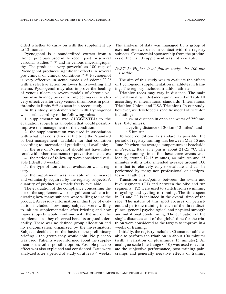cided whether to carry on with the supplement up to 12 months.

Pycnogenol is a standardized extract from a French pine bark used in the recent past for several vascular studies 35, <sup>36</sup> and in venous microangiopathy. The product is very powerful as 100 mgs of Pycnogenol produces significant effects in several pre-clinical or clinical conditions.35-41 Pycnogenol is very effective in acute models of edema 37, <sup>38</sup> with a selective action on lower limb swelling and edema. Pycnogenol may also improve the healing of venous ulcers in severe models of chronic venous insufficiency by controlling edema;<sup>39</sup> it is also very effective after deep venous thrombosis in postthrombotic limbs 39-41 as seen in a recent study.

In this study supplementation with Pycnogenol was used according to the following rules:

1. supplementation was SUGGESTED to the evaluation subjects as an option that would possibly improve the management of the condition;

2. the supplementation was used in association with what was considered at the time the 'standard or best-management' available for that condition according to international guidelines, if available;

3. the use of Pycnogenol should not have interfered with other treatments or preventive measures;

4. the periods of follow-up were considered variable (ideally 8 weeks);

5. the type of non-clinical evaluation was a registry.

6. the supplement was available in the market and voluntarily acquired by the registry subjects. A quantity of product was made freely available.

The evaluation of the compliance concerning the use of the supplement was of significant value in indicating how many subjects were willing to use the product. Accessory information in this type of evaluation included: how many subjects were willing to initiate supplementation after briefing and how many subjects would continue with the use of the supplement as they observed benefits or good tolerability. There was no defined group allocation and no randomization organized by the investigators. Subjects decided ‑ on the basis of the preliminary briefing ‑ the group they would join. No placebo was used. Patients were informed about the supplement or the other possible option. Possible placebo effect was also explained and considered. Data were analyzed after a period of study of at least 4 weeks. The analysis of data was managed by a group of external reviewers not in contact with the registry subjects. Commercial sponsorship from the producers of the tested supplement was not available.

#### *PART 2: Higher level fitness study: the 100-min triathlon*

The aim of this study was to evaluate the effects of Pycnogenol supplementation in athletes in training. The registry included triathlon athletes.

Triathlon races may vary in distance. The main international race distances are reported in Table III according to international standards (International Triathlon Union, and USA Triathlon). In our study, however, we developed a specific model of triathlon including:

— a swim distance in open sea water of 750 metres (0.47 miles);

— a cycling distance of 20 km (12 miles); and

 $-$  a 5 km run.

To keep conditions as standard as possible, the period of registry training was between May 15 and June 20 when the average temperature at beachside in Pescara, Italy at 2 pm is about 21-25 °C. The average running times for these three events was, ideally, around 12-15 minutes, 40 minutes and 25 minutes with a total intended average around 100 min that is relatively easy to evaluate and can be performed by many non-professional or semiprofessional athletes.

Transition areas/points between the swim and bike segments (T1) and between the bike and run segments (T2) were used to switch from swimming to cycling and cycling to running. The time spent in T1 and T2 is included in the overall time of the race. The nature of this sport focuses on persistent and periodic training in each of the three disciplines, general psychological and physical strength and nutritional conditioning. The evaluation of the single distances and of the global time for the triathlon were considered as the targets to improve in 4 weeks of training.

Initially, the registry included 80 amateur athletes able to perform the triathlon in about 100 minutes (with a variation of plus/minus 15 minutes). An analogue scale line (range 0-10) was used to evaluate the subjective performance, post-training pain, cramps and generally negative effects of training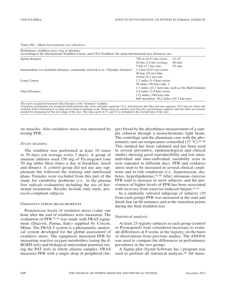Table III.—*Main international race distances.*

| Definitions: triathlon races vary in distance.<br>According to the International Triathlon Union, and USA Triathlon, the main international race distances are: |                                                       |                  |
|-----------------------------------------------------------------------------------------------------------------------------------------------------------------|-------------------------------------------------------|------------------|
| Sprint distance                                                                                                                                                 | 750 m (0.47 mi) swim,                                 | $12 - 15$        |
|                                                                                                                                                                 | $20 \text{ km}$ (12 mi) cycling;                      | $40 \text{ min}$ |
|                                                                                                                                                                 | $5 \text{ km } (3.1 \text{ mi}) \text{ run};$         | $25 \text{ min}$ |
| Intermediate (or standard) distance, commonly referred to as "Olympic distance"                                                                                 | $1.5 \text{ km} (0.93 \text{ mi})$ swim               |                  |
|                                                                                                                                                                 | $40 \text{ km}$ $(25 \text{ mi})$ bike                |                  |
|                                                                                                                                                                 | $10 \text{ km } (6.2 \text{ mi})$ run                 |                  |
| Long Course                                                                                                                                                     | $1.2$ miles $(1.9 \text{ km})$ swim,                  |                  |
|                                                                                                                                                                 | 56 miles (90 km) ride, 1                              |                  |
|                                                                                                                                                                 | 3.1 miles (21.1 km) run, such as the Half Ironman     |                  |
| Ultra Distance                                                                                                                                                  | $2.4$ miles $(3.9 \text{ km})$ swim                   |                  |
|                                                                                                                                                                 | $112$ miles $(180 \text{ km})$ ride                   |                  |
|                                                                                                                                                                 | full marathon: $26.2$ miles $(42.2 \text{ km run})$ ; |                  |

The most recognized branded Ultra Distance is the "Ironman" triathlon.

Transition areas/points are positioned both between the swim and bike segments (T1), and between the bike and run segments (T2) and are where the switches from swimming to cycling and cycling to running occur. These areas are used to store bicycles, performance apparel, and any other accessories needed for preparing for the next stage of the race. The time spent in T1 and T2 is included in the overall time of the race.

on muscles. Also oxidative stress was measured by testing PFR.

#### *Study training*

The triathlon was performed at least 10 times in 30 days (on average every 3 days). A group of amateur athletes used 150 mg of Pycnogenol (one 50 mg tablet three times a day at breakfast, lunch and dinner). A control group did not use any supplement but followed the training and nutritional plans. Females were excluded from this part of the study for variability problems (*i.e.,* in the plasma free radicals evaluation) including the use of hormonal treatments. Results include only male, protocol-compliant subjects.

#### Oxidative stress measurements

Postexercise levels of oxidative stress (value one hour after the end of triathlon) were measured. The evaluation of PFR 42-44 was made with FRAS equipment (Diacron, Parma, Italy) supplied by Corcon, Milan. The FRAS 4 system is a photometric analytical system developed for the global assessment of oxidative stress. The equipment measured PFR by measuring reactive oxygen metabolites (using the d-ROMS test) and biological antioxidant potential (using the PAT test) in whole plasma samples. FRAS measures PFR with a single drop of peripheral (finger) blood by the absorbance measurement of a sample solution through a monochromatic light beam. The centrifuge and the aluminum case with the photometric unit are temperature-controlled  $(37 \degree C)$ .<sup>45-48</sup> This method has been validated and has been used in several preventive, epidemiological and clinical studies showing good reproducibility and low intraindividual and inter-individual variability even in tests repeated in different days. PFR and oxidative stress tend to be increased in several clinical conditions and in risk conditions (*i.e.,* hypertension, diabetes, hyperlipidemia).42-48 After strenuous exercise PFR tend to increase in most subjects, and the persistence of higher levels of PFR has been associated with recovery from exercise-induced fatigue.<sup>42-45</sup>

In a randomly selected subgroup of subjects (10 from each group) PFR was measured at the start and finish line (at 60 minutes) and at the transition points during the final triathlon-test.

#### *Statistical analysis*

At least 25 registry subjects in each group (control or Pycnogenol) were considered necessary to evaluate differences at 8 weeks in the registry, on the basis of observations from previous studies. The ANOVA was used to compare the differences in performance prevalence in the two groups.

A Sigma plot (Systat Software Inc.) program was used to perform all statistical analyses.49 All meas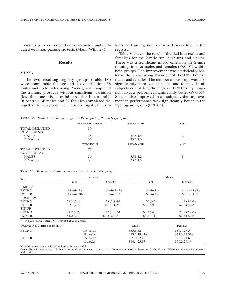urements were considered non-parametric and evaluated with non-parametric tests (Mann-Whitney).

#### **Results**

#### *PART 1*

The two resulting registry groups (Table IV) were comparable for age and sex distribution: 38 males and 36 females using Pycnogenol completed the training protocol without significant variation (less than one missed training session in a month). In controls 36 males and 37 females completed the registry. All dropouts were due to logistical problems of training not performed according to the registry.

Table V shows the results (divided into males and females) for the 2-mile run, push-ups and sit-ups. There was a significant improvement in the 2-mile running time for males and females  $(P<0.05)$  within both groups. The improvement was statistically better in the group using Pycnogenol (P<0.05) both in males and females. The number of push-ups was also significantly improved in males and females in all subjects completing the registry (P<0.05). Pycnogenol subjects performed significantly better (P<0.05). Sit-ups also improved in all subjects; the improvement in performance was significantly better in the Pycnogenol group (P<0.05).

Table IV.—*Subjects within age range: 32-36 completing the study (first part).*

|                       | Pycnogenol subjects | <b>MEAN AGE</b> | <b>LOST</b> |
|-----------------------|---------------------|-----------------|-------------|
| <b>TOTAL INCLUDED</b> | 80                  |                 |             |
| <b>COMPLETING</b>     |                     |                 |             |
| <b>MALES</b>          | 38                  | 34.5:1.4        |             |
| <b>FEMALES</b>        | 36                  | 33.5:1.6        | 4           |
|                       | <b>CONTROLS</b>     | <b>MEAN AGE</b> | <b>LOST</b> |
| <b>TOTAL INCLUDED</b> | 77                  |                 |             |
| <b>COMPLETING</b>     |                     |                 |             |
| <b>MALES</b>          | 36                  | 35.1;1.2        |             |
| <b>FEMALES</b>        | 37                  | 33.6:1.5        |             |

| TABLE V.—Tests and oxidative stress results at 8 weeks (first part). |  |  |  |  |  |  |  |
|----------------------------------------------------------------------|--|--|--|--|--|--|--|
|----------------------------------------------------------------------|--|--|--|--|--|--|--|

|                                                           | Females                       |                                    |                               | Males                           |  |  |
|-----------------------------------------------------------|-------------------------------|------------------------------------|-------------------------------|---------------------------------|--|--|
| Test                                                      | incl.                         | 8 weeks                            | incl.                         | 8 weeks                         |  |  |
| 2 MILES                                                   |                               |                                    |                               |                                 |  |  |
| <b>PYCNO</b>                                              | $18 \text{ min } 2 \text{ s}$ | $16 \text{ min } 3 \text{ s}^* \#$ | $16 \text{ min } 8 \text{ s}$ | 14 min 11 $s$ *#                |  |  |
| <b>CONTR</b>                                              | $17 \text{ min } 20s$         | $17 \text{ min } 3 \text{ s}^*$    | $16 \text{ min } 6 \text{ s}$ | $15 \text{ min } 34 \text{ s*}$ |  |  |
| <b>PUSH UPS</b>                                           |                               |                                    |                               |                                 |  |  |
| <b>PYCNO</b>                                              | 31.2(3.1)                     | $39(2.1)$ *#                       | 56(3.2)                       | $69(3.1)*#$                     |  |  |
| <b>CONTR</b>                                              | 31(2.2)                       | $34.1(1.1)^*$                      | 58.2(2)                       | $62.2(2.2)^*$                   |  |  |
| $SITUP*$                                                  |                               |                                    |                               |                                 |  |  |
| <b>PYCNO</b>                                              | 61.2(2.2)                     | $67(1.3)*#$                        | 63.2(3)                       | $73.2(2.2)*#$                   |  |  |
| <b>CONTR</b>                                              | 61.2(2.1)                     | $64.2 (2.2)^*$                     | 63.2(1.1)                     | $67.3(2.2)$ *                   |  |  |
| $* = P<0.05$ (before-after); $# = P<0.05$ between groups. |                               |                                    |                               |                                 |  |  |
| <b>OXIDATIVE STRESS</b> (carr units)                      |                               |                                    | Males                         | Females                         |  |  |
| <b>PYCNO</b>                                              | inclusion                     |                                    | 335.3:32                      | 339.4;27.5                      |  |  |
|                                                           | 8 weeks                       |                                    | $318.2;19.4**$ #              | $311.3:24.3**$                  |  |  |
| <b>CONTR</b>                                              | inclusion                     |                                    | 310;22.4                      | 332.3:21.6                      |  |  |
|                                                           | 8 weeks                       |                                    | 344.4;25.3*                   | 356.2;29.1*                     |  |  |

Normal values: males <330 Carr Units; females <335

Generally, with exercise, oxidative stress tends to increase. \*: statistical difference compared to baseline; #: significant difference between Pycnogenol and controls.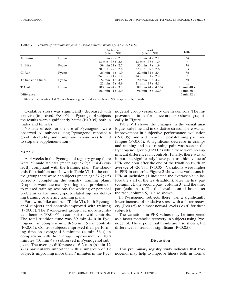|                       |       | Inclusion<br>(min sec SD)  | 4 weeks<br>(min sec SD)             | Diff.                          |
|-----------------------|-------|----------------------------|-------------------------------------|--------------------------------|
| A. Swim               | Pycno | 13 min 28 s; 2.2           | $12 \text{ min } 34 \text{ s}; 2.1$ | $*#$                           |
|                       |       | 13 min 36 s; 2.5           | 13 min 38 s; 1.9                    | $\ast$                         |
| B. Bike               | Pycno | 39 min 21 s: 2.7           | $35 \text{ min}$ 7 s: 1.9           | $*#$                           |
|                       |       | 38 min 29 s; 2.8           | 37 min 39 s: 2.6                    | ns.                            |
| C. Run                | Pycno | $25 \text{ min}$ 4 s: 1.9  | $22 \text{ min } 31 \text{ s}; 2.4$ | $*#$                           |
|                       |       | 26 min 21 s: 1.9           | 24 min 31 s: 2.9                    | $\ast$                         |
| $+2$ transition times | Pycno | 22 min 31 s; 4.5           | $20 \text{ min}$ $2 \text{ s}; 4.2$ | $*#$                           |
|                       |       | $22 \text{ min}$ 5 s: 4.9  | $21 \text{ min}$ 17 s; 4.1          | ns.                            |
| <b>TOTAL</b>          | Pycno | 100 min 24 s: 3.2          | 89 min 44 s; $4.5**$ #              | $10 \text{ min } 48 \text{ s}$ |
|                       |       | $101 \text{ min}$ 1 s: 3.9 | 96 min $5 \text{ s}$ ; 3.2*         | 4 min 36 s                     |
| Difference            |       |                            |                                     | $6 \text{ min} 12 \text{ s}$   |

Table VI.—*Details of triathlon subjects (32 male athletes, mean age 37.9; SD 4.4).*

Oxidative stress was significantly decreased with exercise (improved; P<0.05); in Pycnogenol subjects the results were significantly better (P<0.05) both in males and females.

No side effects for the use of Pycnogenol were observed. All subjects using Pycnogenol reported a good tolerability and compliance (none was forced to stop the supplementation).

#### *PART 2*

At 4 weeks in the Pycnogenol registry group there were 32 male athletes (mean age 37.9; SD 4.4) correctly compliant with the training plan. The standards for triathlon are shown in Table VI. In the control group there were 22 subjects(mean age 37.2;3.5) correctly completing the registry training plans. Dropouts were due mainly to logistical problems or to missed training sessions for working or personal problems or for minor, sport-related injuries delaying training or altering training plans.

For swim, bike and run (Table VI), both Pycnogenol subjects and controls improved with training (P<0.05). The Pycnogenol group had more significant benefits (P<0.05) in comparison with controls. The total triathlon time was 89 min 44 s in Pycnogenol in comparison with 96 min 5 s in controls (P<0.05). Control subjects improved their performing time on average 4.6 minutes (4 min 36 s) in comparison with the average improvement of 10.8 minutes (10 min 48 s) observed in Pycnogenol subjects. The average difference of 6.2 min (6 min 12 s) is particularly important with a subgroup of 12 subjects improving more than 7 minutes in the Pycnogenol group versus only one in controls. The improvements in performance are also shown graphically in Figure 1.

Table VII shows the changes in the visual analogue scale line and in oxidative stress. There was an improvement in subjective performance evaluation (P<0.05), and a decrease in post-training pain and fatigue (P<0.05). A significant decrease in cramps and running and post-running pain was seen in the Pycnogenol group (P<0.05) while there were no significant differences in controls. Finally, there was an important, significantly lower post-triathlon value of PFR one hour after the end of the triathlon (with an average of -26.7%; P<0.05). Variations were higher in PFR in controls. Figure 2 shows the variations in PFR at inclusion (1 indicated the average value before the start of the test-triathlon), after the first part (column 2), the second part (column 3) and the third part (column 4). The final evaluation (1 hour after the race, column 5) is also shown.

In Pycnogenol subjects there was a significantly lower increase of oxidative stress with a faster recovery  $(P<0.05)$  to almost normal levels  $(<330$  for these subjects).

The variations in PFR values may be interpreted as a faster metabolic recovery in subjects using Pycnogenol. The exponential trends are also shown; the differences in trends is significant (P<0.05).

#### **Discussion**

This preliminary registry study indicates that Pycnogenol may help to improve fitness both in normal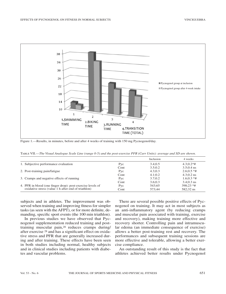

Figure 1.—Results, in minutes, before and after 4 weeks of training with 150 mg Pycnogenol/day.

Table VII.—*The Visual Analogue Scale Line (range 0-5) and the post-exercise PFR (Carr Units): average and SD are shown.*

|                                                            |      | Inclusion | 4 weeks       |
|------------------------------------------------------------|------|-----------|---------------|
| 1. Subjective performance evaluation                       | Pyc  | 3.4:0.5   | $4.3:0.2**$   |
|                                                            | Cont | 3.5:0.2   | $3.5:0.4$ ns  |
| 2. Post-training pain/fatigue                              | Pyc  | 4.3:0.3   | $2.6:0.5*$ #  |
|                                                            | Cont | 4.1;0.2   | $4.3:0.2$ ns  |
| 3. Cramps and negative effects of running                  | Pyc  | 3.7:0.2   | $1.6:0.3*$ #  |
|                                                            | Cont | 3.6:0.3   | $3.4(0.3)$ ns |
| 4. PFR in blood (one finger drop): post-exercise levels of | Pyc  | 543:65    | $398:23$ *#   |
| oxidative stress (value 1 h after end of triathlon)        | Cont | 573:44    | 582:32 ns     |

subjects and in athletes. The improvement was observed when training and improving fitness for simpler tasks (as seen with the AFPT), or for more definite, demanding, specific sport events (the 100 min triathlon).

In previous studies we have observed that Pycnogenol supplementation reduced training and posttraining muscular pain,28 reduces cramps during/ after exercise <sup>28</sup> and has a significant effect on oxidative stress and PFR that are generally increased during and after training. These effects have been seen in both studies including normal, healthy subjects and in clinical studies including patients with diabetes and vascular problems.

There are several possible positive effects of Pycnogenol on training. It may act in most subjects as an anti-inflammatory agent (by reducing cramps and muscular pain associated with training, exercise and recovery), making training more effective and recovery shorter. Controlling pain and intramuscular edema (an immediate consequence of exercise) allows a better post-training rest and recovery. The performances and subsequent training sessions are more effective and tolerable, allowing a better exercise compliance.

An outstanding result of this study is the fact that athletes achieved better results under Pycnogenol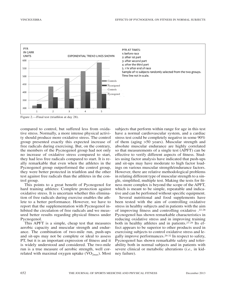

Figure 2.—Final test (triathlon at day 28).

compared to control, but suffered less from oxidative stress. Normally, a more intense physical activity should produce more oxidative stress. The control group presented exactly this expected increase of free radicals during exercising. But, on the contrary, the members of the Pycnogenol group had not only no increase of oxidative stress compared to start, they had less free radicals compared to start. It is really remarkable that even when the athletes in the Pycnogenol group outperformed the control group, they were better protected in triathlon and the other test against free radicals than the athletes in the control group.

This points to a great benefit of Pycnogenol for hard training athletes: Complete protection against oxidative stress. It is uncertain whether this elimination of free radicals during exercise enables the athlete to a better performance. However, we have to report that the supplementation with Pycnogenol inhibited the circulation of free radicals and we measured better results regarding physical fitness under Pycnogenol.

This APFT is a simple, cheap test that measures aerobic capacity and muscular strength and endurance. The combination of two-mile run, push-ups and sit-ups may not be complete or ideal to assess PT, but it is an important expression of fitness and it is widely understood and considered. The two-mile run is a true measure of aerobic strength, well correlated with maximal oxygen uptake  $(VO_{2m}$ ). Most

subjects that perform within range for age in this test have a normal cardiovascular system, and a cardiac stress test could be completely negative in some 90% of them (aging >50 years). Muscular strength and absolute muscular endurance are highly correlated so that measurements of a single test (APFT) can be effective to verify different aspects of fitness. Studies using factor analysis have indicated that push-ups and sit-ups may have moderate to high factor loadings on various muscular strength/endurance factors. However, there are relative methodological problems in relating different type of muscular strength to a single, simplified, multiple test. Making the tests for fitness more complex is beyond the scope of the APFT, which is meant to be simple, repeatable and indicative and can be perfomed without specific equipment.

Several nutritional and food supplements have been tested with the aim of controlling oxidative stress in healthy subjects and in patients with the aim of improving fitness and controlling oxidative .22-28 Pycnogenol has shown remarkable characteristics in reducing oxidative stress and in improving training both in healthy athletes and in patients.27-29 Its effect appears to be superior to other products used in exercising subjects to control oxidative stress and legally improve performances.29-32 In respect to safety, Pycnogenol has shown remarkable safety and tolerability both in normal subjects and in patients with severe clinical or metabolic alterations (*i.e.,* in kidney failure).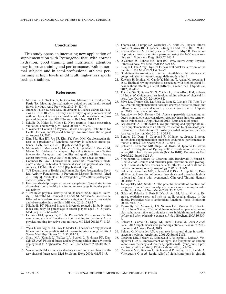#### **Conclusions**

This study opens an interesting new application of supplementation with Pycnogenol that, with correct hydration, good training and nutritional attention may improve training and performances both in normal subjects and in semi-professional athletes performing at high levels in difficult, high-stress sports such as triathlon.

#### **References**

- 1. Morrow JR Jr, Tucker JS, Jackson AW, Martin SB, Greenleaf CA, Petrie TA. Meeting physical activity guidelines and health-related fitness in youth. Am  $\overline{J}$  Prev Med 2013;44:439-44.
- 2. Jiménez-Pavón D, Sesé MA, Huybrechts I, Cuenca-García M, Palacios G, Ruiz JR *et al*. Dietary and lifestyle quality indices with/ without physical activity and markers of insulin resistance in European adolescents: the HELENA study. Br J Nutr 2013:1-7.
- 3. Sekulic D, Males B, Miletic D. Navy recruits: fitness measuring, validation, and norming. Mil Med 2006;171:749-52.
- "President's Council on Physical Fitness and Sports Definitions for Health, Fitness, and Physical Activity". Archived from the original on August 25, 2012.
- 5. Kim BR, Han EY, Joo SJ, Kim SY, Yoon HM. Cardiovascular fitness as a predictor of functional recovery in subacute stroke patients. Disabil Rehabil 2013 [Epub ahead of print].
- 6. Mirandola D, Miccinesi G, Muraca MG, Sgambati E, Monaci M, Marini M. Evidence for adapted physical activity as an effective intervention for upper limb mobility and quality of life in breast cancer survivors. J Phys Act Health 2013 [Epub ahead of print].
- 7. Coombes JS, Law J, Lancashire B, Fassett RG. "Exercise is medicine": curbing the burden of chronic disease and physical inactivity. Asia Pac J Public Health 2013 [Epub ahead of print].
- "US Department of Health and Human Services Presentation: Physical Activity Fundamental to Preventing Disease [Internet]. [cited 2013 July 3]. Available at: http://aspe.hhs.gov/health/reports/physicalactivity/June 2002
- 9. Exercise also help people to rest and sleep better. Several studies indicate that to stay healthy it is important to engage in regular physical activity.
- 10. "How much physical activity do adults need? 2008 Physical Activity 10. Shrestha M, Combest T, Fonda SJ, Alfonso A, Guerrero A. Effect of an accelerometer on body weight and fitness in overweight and obese active duty soldiers. Mil Med 2013;178:82-7.
- 11. Nikolaïdis PT. Physical fitness is inversely related with body mass index and body fat percentage in soccer players aged 16-18 years. Med Pregl 2012;65:470-5.
- 12. Heinrich KM, Spencer V, Fehl N, Poston WS. Mission essential fitness: comparison of functional circuit training to traditional Army physical training for active duty military. Mil Med 2012;177:1125- 30.
- 13. Wyss T, Von Vigier RO, Frey F, Mäder U. The Swiss Army physical fitness test battery predicts risk of overuse injuries among recruits. J Sports Med Phys Fitness 2012;52:513-21.
- Sharp MA, Knapik JJ, Walker LA, Burrell L, Frykman PN, Darakjy SS *et al*. Physical fitness and body composition after a 9-month deployment to Afghanistan. Med Sci Sports Exerc 2008;40:1687- 92.
- 15. Vanderburgh PM. Occupational relevance and body mass bias in military physical fitness tests. Med Sci Sports Exerc 2008;40:1538-45.
- 16. Thomas DQ, Lumpp SA, Schreiber JA, Keith JA. Physical fitness profile of Army ROTC cadets. J Strength Cond Res 2004;18:904-7.
- 17. Zivotić-Vanović M, Dimitrijević B, Zivanić S, Mijić R. Evaluation of physical fitness in military personnel using the 1600 meter running test]. Vojnosanit Pregl 1995;52:443-9
- 18. O'Connor JS, Bahrke MS, Tetu RG. 1988 Active Army Physical Fitness Survey. Mil Med 1990;155:579-85.
- 19. Knapik J. The Army Physical Fitness Test (APFT): a review of the literature. Mil Med 1989;154:326-9.
- 20. Guidelines for Americans [Internet]. Available at: http://www.cdc. gov/physicalactivity/everyone/guidelines/adults.html
- 21. Kawano H, Iemitsu M, Gando Y, Ishijima T, Asaka M, Aoyama T *et al*. Habitual rowing exercise is associated with high physical fitness without affecting arterial stiffness in older men. J Sports Sci 2012;30:241-6.
- 22. Traustadóttir T, Davies SS, SuY, Choi L, Brown-Borg HM, Roberts LJ 2nd *et al*. Oxidative stress in older adults: effects of physical fitness. Age (Dordr) 2012;34:969-82.
- 23. Silva LA, Tromm CB, Da Rosa G, Bom K, Luciano TF, Tuon T *et al*. Creatine supplementation does not decrease oxidative stress and inflammation in skeletal muscle after eccentric exercise. J Sports Sci 2013 [Epub ahead of print].
- 24. Jendzjowsky NG, Delorey DS. Acute superoxide scavenging reduces sympathetic vasoconstrictor responsiveness in short-term exercise trained rats. J Appl Physiol 2013 [Epub ahead of print].
- 25. Gąsiorowski A, Dutkiewicz J. Weight training and appropriate nutrient supplementation as an alternative method to pharmacological treatment in rehabilitation of post-myocardial infarction patients. Ann Agric Environ Med 2012;19:333-8.
- 26. Bentley DJ, Dank S, Coupland R, Midgley A, Spence I. Acute antioxidant supplementation improves endurance performance in trained athletes. Res Sports Med 2012;20:1-12.
- 27. Belcaro G, Cesarone MR, Dugall M, Hosoi M, Ippolito E, Bavera P *et al.* Investigation of Pycnogenol<sup>®</sup> in combination with coenzymeQ10 in heart failure patients (NYHA II/III). Panminerva Med  $2010;52(2 \text{ Suppl } 1):21-5$
- Vinciguerra G, Belcaro G, Cesarone MR, Rohdewald P, Stuard S, Ricci A *et al*. Cramps and muscular pain: prevention with pycnogenol in normal subjects, venous patients, athletes, claudicants and in diabetic microangiopathy. Angiology 2006;57:331-9.
- 29. Belcaro G, Cesarone MR, Rohdewald P, Ricci A, Ippolito E, Dugall M *et al*. Prevention of venous thrombosis and thrombophlebitis in long-haul flights with pycnogenol. Clin Appl Thromb Hemost 2004;10:373-7.
- 30. Tarnopolsky MA, Safdar A. The potential benefits of creatine and conjugated linoleic acid as adjuncts to resistance training in older adults. Appl Physiol Nutr Metab 2008;33:213-27.
- 31. Galán AI, Palacios E, Ruiz F, Díez A, Arji M, Almar M *et al*. Exercise, oxidative stress and risk of cardiovascular disease in the elderly. Protective role of antioxidant functional foods. Biofactors 2006;27:167-83.
- 32. McAnulty SR, McAnulty LS, Nieman DC, Morrow JD, Shooter LA, Holmes S *et al*. Effect of alpha-tocopherol supplementation on plasma homocysteine and oxidative stress in highly trained athletes before and after exhaustive exercise. J Nutr Biochem 2005;16:530- 7.
- 33. Belcaro G, Cornelli U, Dugall M, Luzzi R, Hosoi M, Ledda A *et al.* Panel 2013 supplements and greendrugs studies; new rules 2013. London and Annecy Panel; 2013.
- 34. Belcaro G, Nicolaides AN. A new role for natural drugs in cardiovascular medicine. Angiology 2001;52(Suppl 2):S1.
- 35. Cesarone MR, Belcaro G, Rohdewald P, Pellegrini L, Ledda A, Vinciguerra G *et al*. Improvement of signs and symptoms of chronic venous insufficiency and microangiopathy with Pycnogenol: a prospective, controlled study. Phytomedicine 2010;17:835-9.
- 36. Cesarone MR, Belcaro G, Rohdewald P, Pellegrini L, Ledda A, Vinciguerra G *et al*. Rapid relief of signs/symptoms in chronic